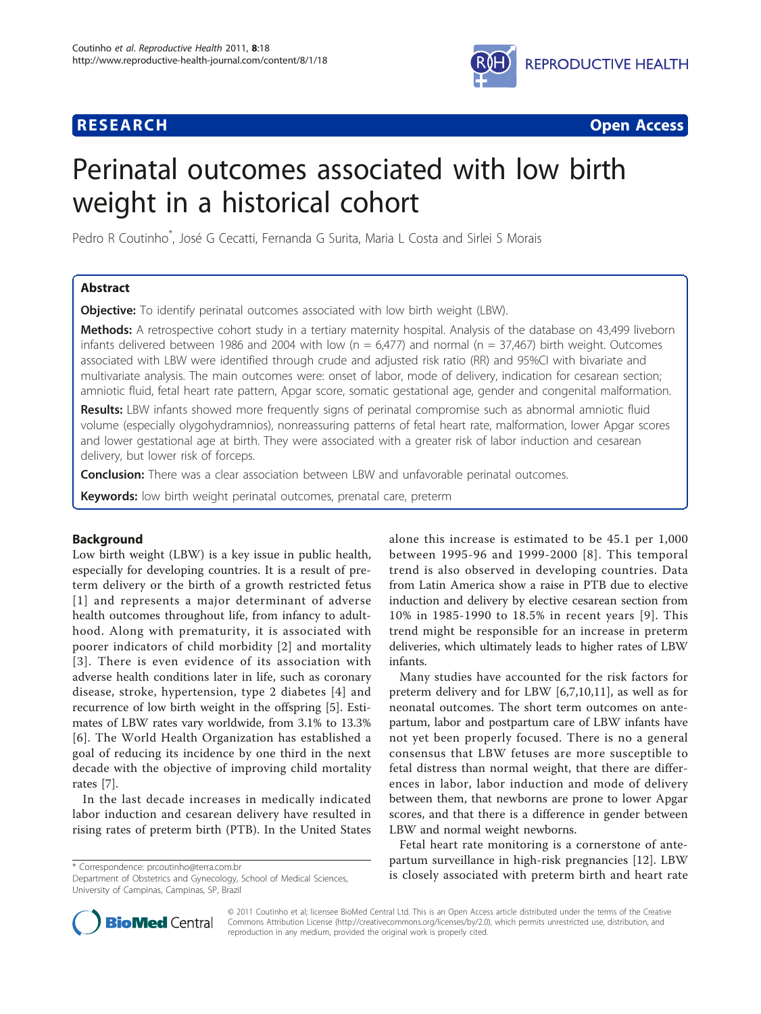## **RESEARCH CONTROL** CONTROL CONTROL CONTROL CONTROL CONTROL CONTROL CONTROL CONTROL CONTROL CONTROL CONTROL CONTROL



# Perinatal outcomes associated with low birth weight in a historical cohort

Pedro R Coutinho\* , José G Cecatti, Fernanda G Surita, Maria L Costa and Sirlei S Morais

## Abstract

**Objective:** To identify perinatal outcomes associated with low birth weight (LBW).

Methods: A retrospective cohort study in a tertiary maternity hospital. Analysis of the database on 43,499 liveborn infants delivered between 1986 and 2004 with low ( $n = 6,477$ ) and normal ( $n = 37,467$ ) birth weight. Outcomes associated with LBW were identified through crude and adjusted risk ratio (RR) and 95%CI with bivariate and multivariate analysis. The main outcomes were: onset of labor, mode of delivery, indication for cesarean section; amniotic fluid, fetal heart rate pattern, Apgar score, somatic gestational age, gender and congenital malformation.

Results: LBW infants showed more frequently signs of perinatal compromise such as abnormal amniotic fluid volume (especially olygohydramnios), nonreassuring patterns of fetal heart rate, malformation, lower Apgar scores and lower gestational age at birth. They were associated with a greater risk of labor induction and cesarean delivery, but lower risk of forceps.

**Conclusion:** There was a clear association between LBW and unfavorable perinatal outcomes.

Keywords: low birth weight perinatal outcomes, prenatal care, preterm

## Background

Low birth weight (LBW) is a key issue in public health, especially for developing countries. It is a result of preterm delivery or the birth of a growth restricted fetus [[1\]](#page-5-0) and represents a major determinant of adverse health outcomes throughout life, from infancy to adulthood. Along with prematurity, it is associated with poorer indicators of child morbidity [\[2](#page-5-0)] and mortality [[3\]](#page-5-0). There is even evidence of its association with adverse health conditions later in life, such as coronary disease, stroke, hypertension, type 2 diabetes [[4\]](#page-5-0) and recurrence of low birth weight in the offspring [[5\]](#page-5-0). Estimates of LBW rates vary worldwide, from 3.1% to 13.3% [[6](#page-5-0)]. The World Health Organization has established a goal of reducing its incidence by one third in the next decade with the objective of improving child mortality rates [\[7](#page-5-0)].

In the last decade increases in medically indicated labor induction and cesarean delivery have resulted in rising rates of preterm birth (PTB). In the United States

Department of Obstetrics and Gynecology, School of Medical Sciences, University of Campinas, Campinas, SP, Brazil

alone this increase is estimated to be 45.1 per 1,000 between 1995-96 and 1999-2000 [[8\]](#page-5-0). This temporal trend is also observed in developing countries. Data from Latin America show a raise in PTB due to elective induction and delivery by elective cesarean section from 10% in 1985-1990 to 18.5% in recent years [[9](#page-5-0)]. This trend might be responsible for an increase in preterm deliveries, which ultimately leads to higher rates of LBW infants.

Many studies have accounted for the risk factors for preterm delivery and for LBW [\[6](#page-5-0),[7,10,11\]](#page-5-0), as well as for neonatal outcomes. The short term outcomes on antepartum, labor and postpartum care of LBW infants have not yet been properly focused. There is no a general consensus that LBW fetuses are more susceptible to fetal distress than normal weight, that there are differences in labor, labor induction and mode of delivery between them, that newborns are prone to lower Apgar scores, and that there is a difference in gender between LBW and normal weight newborns.

Fetal heart rate monitoring is a cornerstone of antepartum surveillance in high-risk pregnancies [\[12](#page-5-0)]. LBW \* Correspondence: prooutinho@terra.com.br<br>Department of Obstetrics and Gynecology School of Medical Sciences **is closely associated with preterm birth and heart rate** 



© 2011 Coutinho et al; licensee BioMed Central Ltd. This is an Open Access article distributed under the terms of the Creative Commons Attribution License [\(http://creativecommons.org/licenses/by/2.0](http://creativecommons.org/licenses/by/2.0)), which permits unrestricted use, distribution, and reproduction in any medium, provided the original work is properly cited.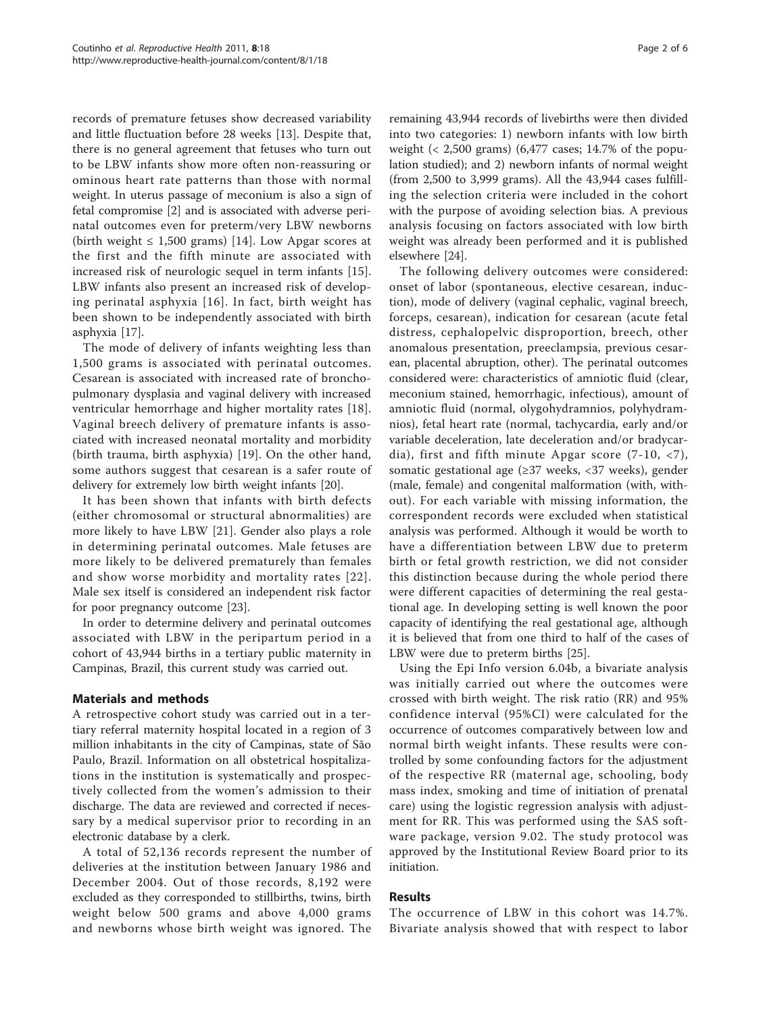records of premature fetuses show decreased variability and little fluctuation before 28 weeks [\[13\]](#page-5-0). Despite that, there is no general agreement that fetuses who turn out to be LBW infants show more often non-reassuring or ominous heart rate patterns than those with normal weight. In uterus passage of meconium is also a sign of fetal compromise [[2\]](#page-5-0) and is associated with adverse perinatal outcomes even for preterm/very LBW newborns (birth weight  $\leq 1,500$  grams) [[14\]](#page-5-0). Low Apgar scores at the first and the fifth minute are associated with increased risk of neurologic sequel in term infants [\[15](#page-5-0)]. LBW infants also present an increased risk of developing perinatal asphyxia [[16\]](#page-5-0). In fact, birth weight has been shown to be independently associated with birth asphyxia [[17\]](#page-5-0).

The mode of delivery of infants weighting less than 1,500 grams is associated with perinatal outcomes. Cesarean is associated with increased rate of bronchopulmonary dysplasia and vaginal delivery with increased ventricular hemorrhage and higher mortality rates [\[18](#page-5-0)]. Vaginal breech delivery of premature infants is associated with increased neonatal mortality and morbidity (birth trauma, birth asphyxia) [\[19](#page-5-0)]. On the other hand, some authors suggest that cesarean is a safer route of delivery for extremely low birth weight infants [[20\]](#page-5-0).

It has been shown that infants with birth defects (either chromosomal or structural abnormalities) are more likely to have LBW [[21\]](#page-5-0). Gender also plays a role in determining perinatal outcomes. Male fetuses are more likely to be delivered prematurely than females and show worse morbidity and mortality rates [[22\]](#page-5-0). Male sex itself is considered an independent risk factor for poor pregnancy outcome [[23](#page-5-0)].

In order to determine delivery and perinatal outcomes associated with LBW in the peripartum period in a cohort of 43,944 births in a tertiary public maternity in Campinas, Brazil, this current study was carried out.

## Materials and methods

A retrospective cohort study was carried out in a tertiary referral maternity hospital located in a region of 3 million inhabitants in the city of Campinas, state of São Paulo, Brazil. Information on all obstetrical hospitalizations in the institution is systematically and prospectively collected from the women's admission to their discharge. The data are reviewed and corrected if necessary by a medical supervisor prior to recording in an electronic database by a clerk.

A total of 52,136 records represent the number of deliveries at the institution between January 1986 and December 2004. Out of those records, 8,192 were excluded as they corresponded to stillbirths, twins, birth weight below 500 grams and above 4,000 grams and newborns whose birth weight was ignored. The

remaining 43,944 records of livebirths were then divided into two categories: 1) newborn infants with low birth weight (< 2,500 grams) (6,477 cases; 14.7% of the population studied); and 2) newborn infants of normal weight (from 2,500 to 3,999 grams). All the 43,944 cases fulfilling the selection criteria were included in the cohort with the purpose of avoiding selection bias. A previous analysis focusing on factors associated with low birth weight was already been performed and it is published elsewhere [[24](#page-5-0)].

The following delivery outcomes were considered: onset of labor (spontaneous, elective cesarean, induction), mode of delivery (vaginal cephalic, vaginal breech, forceps, cesarean), indication for cesarean (acute fetal distress, cephalopelvic disproportion, breech, other anomalous presentation, preeclampsia, previous cesarean, placental abruption, other). The perinatal outcomes considered were: characteristics of amniotic fluid (clear, meconium stained, hemorrhagic, infectious), amount of amniotic fluid (normal, olygohydramnios, polyhydramnios), fetal heart rate (normal, tachycardia, early and/or variable deceleration, late deceleration and/or bradycardia), first and fifth minute Apgar score  $(7-10, 7)$ , somatic gestational age (≥37 weeks, <37 weeks), gender (male, female) and congenital malformation (with, without). For each variable with missing information, the correspondent records were excluded when statistical analysis was performed. Although it would be worth to have a differentiation between LBW due to preterm birth or fetal growth restriction, we did not consider this distinction because during the whole period there were different capacities of determining the real gestational age. In developing setting is well known the poor capacity of identifying the real gestational age, although it is believed that from one third to half of the cases of LBW were due to preterm births [[25\]](#page-5-0).

Using the Epi Info version 6.04b, a bivariate analysis was initially carried out where the outcomes were crossed with birth weight. The risk ratio (RR) and 95% confidence interval (95%CI) were calculated for the occurrence of outcomes comparatively between low and normal birth weight infants. These results were controlled by some confounding factors for the adjustment of the respective RR (maternal age, schooling, body mass index, smoking and time of initiation of prenatal care) using the logistic regression analysis with adjustment for RR. This was performed using the SAS software package, version 9.02. The study protocol was approved by the Institutional Review Board prior to its initiation.

## Results

The occurrence of LBW in this cohort was 14.7%. Bivariate analysis showed that with respect to labor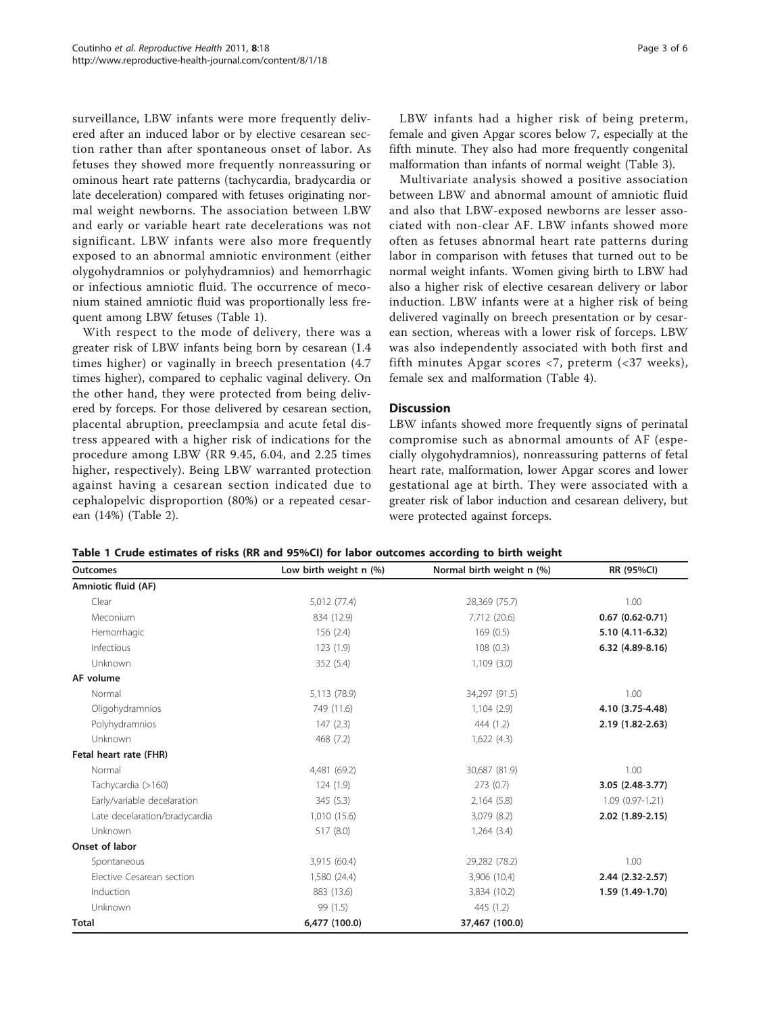surveillance, LBW infants were more frequently delivered after an induced labor or by elective cesarean section rather than after spontaneous onset of labor. As fetuses they showed more frequently nonreassuring or ominous heart rate patterns (tachycardia, bradycardia or late deceleration) compared with fetuses originating normal weight newborns. The association between LBW and early or variable heart rate decelerations was not significant. LBW infants were also more frequently exposed to an abnormal amniotic environment (either olygohydramnios or polyhydramnios) and hemorrhagic or infectious amniotic fluid. The occurrence of meconium stained amniotic fluid was proportionally less frequent among LBW fetuses (Table 1).

With respect to the mode of delivery, there was a greater risk of LBW infants being born by cesarean (1.4 times higher) or vaginally in breech presentation (4.7 times higher), compared to cephalic vaginal delivery. On the other hand, they were protected from being delivered by forceps. For those delivered by cesarean section, placental abruption, preeclampsia and acute fetal distress appeared with a higher risk of indications for the procedure among LBW (RR 9.45, 6.04, and 2.25 times higher, respectively). Being LBW warranted protection against having a cesarean section indicated due to cephalopelvic disproportion (80%) or a repeated cesarean (14%) (Table [2](#page-3-0)).

LBW infants had a higher risk of being preterm, female and given Apgar scores below 7, especially at the fifth minute. They also had more frequently congenital malformation than infants of normal weight (Table [3](#page-3-0)).

Multivariate analysis showed a positive association between LBW and abnormal amount of amniotic fluid and also that LBW-exposed newborns are lesser associated with non-clear AF. LBW infants showed more often as fetuses abnormal heart rate patterns during labor in comparison with fetuses that turned out to be normal weight infants. Women giving birth to LBW had also a higher risk of elective cesarean delivery or labor induction. LBW infants were at a higher risk of being delivered vaginally on breech presentation or by cesarean section, whereas with a lower risk of forceps. LBW was also independently associated with both first and fifth minutes Apgar scores  $\langle 7, \text{preterm } (\langle 37 \text{ weeks}), \rangle$ female sex and malformation (Table [4\)](#page-4-0).

#### **Discussion**

LBW infants showed more frequently signs of perinatal compromise such as abnormal amounts of AF (especially olygohydramnios), nonreassuring patterns of fetal heart rate, malformation, lower Apgar scores and lower gestational age at birth. They were associated with a greater risk of labor induction and cesarean delivery, but were protected against forceps.

| Table 1 Crude estimates of risks (RR and 95%CI) for labor outcomes according to birth weight |  |  |  |  |  |  |  |  |  |  |  |  |  |  |  |
|----------------------------------------------------------------------------------------------|--|--|--|--|--|--|--|--|--|--|--|--|--|--|--|
|----------------------------------------------------------------------------------------------|--|--|--|--|--|--|--|--|--|--|--|--|--|--|--|

| <b>Outcomes</b>               | Low birth weight n (%) | Normal birth weight n (%) | RR (95%CI)          |
|-------------------------------|------------------------|---------------------------|---------------------|
| Amniotic fluid (AF)           |                        |                           |                     |
| Clear                         | 5,012 (77.4)           | 28,369 (75.7)             | 1.00                |
| Meconium                      | 834 (12.9)             | 7,712 (20.6)              | $0.67(0.62 - 0.71)$ |
| Hemorrhagic                   | 156(2.4)               | 169(0.5)                  | 5.10 (4.11-6.32)    |
| Infectious                    | 123(1.9)               | 108(0.3)                  | 6.32 (4.89-8.16)    |
| Unknown                       | 352 (5.4)              | 1,109(3.0)                |                     |
| AF volume                     |                        |                           |                     |
| Normal                        | 5,113 (78.9)           | 34,297 (91.5)             | 1.00                |
| Oligohydramnios               | 749 (11.6)             | 1,104(2.9)                | 4.10 (3.75-4.48)    |
| Polyhydramnios                | 147(2.3)               | 444 (1.2)                 | 2.19 (1.82-2.63)    |
| Unknown                       | 468 (7.2)              | 1,622(4.3)                |                     |
| Fetal heart rate (FHR)        |                        |                           |                     |
| Normal                        | 4,481 (69.2)           | 30,687 (81.9)             | 1.00                |
| Tachycardia (>160)            | 124(1.9)               | 273(0.7)                  | 3.05 (2.48-3.77)    |
| Early/variable decelaration   | 345 (5.3)              | 2,164(5.8)                | $1.09(0.97-1.21)$   |
| Late decelaration/bradycardia | 1,010 (15.6)           | 3,079 (8.2)               | 2.02 (1.89-2.15)    |
| Unknown                       | 517 (8.0)              | $1,264$ $(3.4)$           |                     |
| Onset of labor                |                        |                           |                     |
| Spontaneous                   | 3,915 (60.4)           | 29,282 (78.2)             | 1.00                |
| Flective Cesarean section     | 1,580 (24.4)           | 3,906 (10.4)              | 2.44 (2.32-2.57)    |
| Induction                     | 883 (13.6)             | 3,834 (10.2)              | 1.59 (1.49-1.70)    |
| Unknown                       | 99 (1.5)               | 445 (1.2)                 |                     |
| <b>Total</b>                  | 6,477 (100.0)          | 37,467 (100.0)            |                     |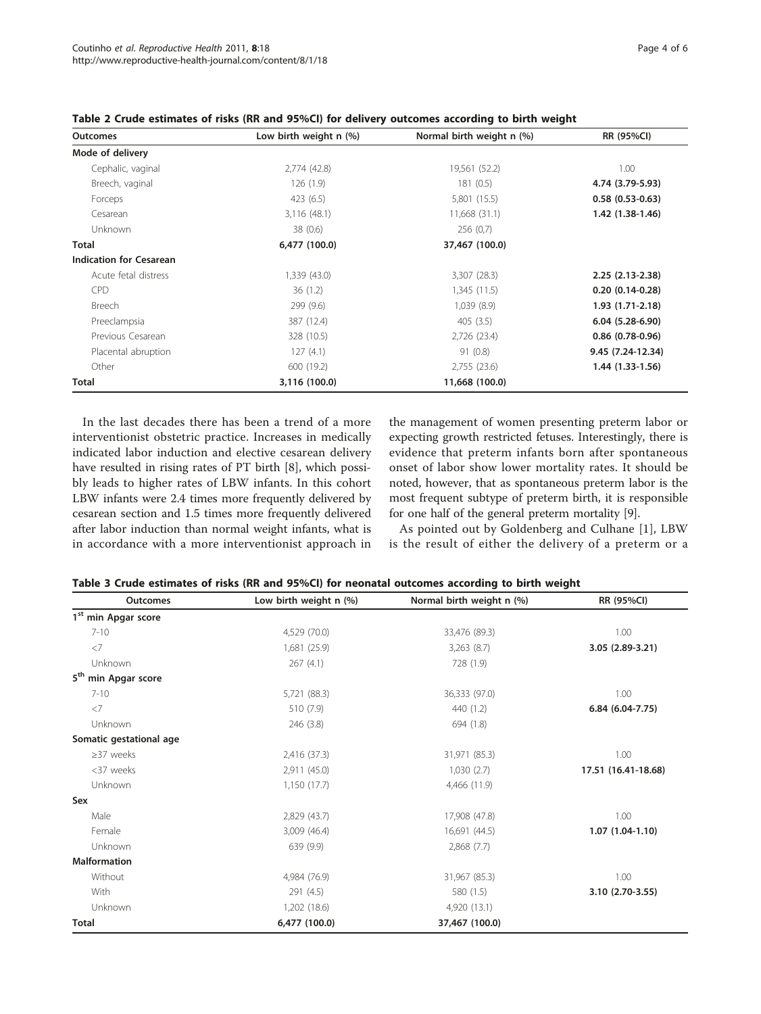| Outcomes                       | Low birth weight n (%) | Normal birth weight n (%) | RR (95%CI)         |
|--------------------------------|------------------------|---------------------------|--------------------|
| Mode of delivery               |                        |                           |                    |
| Cephalic, vaginal              | 2,774 (42.8)           | 19,561 (52.2)             | 1.00               |
| Breech, vaginal                | 126(1.9)               | 181(0.5)                  | 4.74 (3.79-5.93)   |
| Forceps                        | 423 (6.5)              | 5,801 (15.5)              | $0.58(0.53-0.63)$  |
| Cesarean                       | 3,116 (48.1)           | 11,668 (31.1)             | 1.42 (1.38-1.46)   |
| Unknown                        | 38 (0.6)               | 256(0,7)                  |                    |
| <b>Total</b>                   | 6,477 (100.0)          | 37,467 (100.0)            |                    |
| <b>Indication for Cesarean</b> |                        |                           |                    |
| Acute fetal distress           | 1,339 (43.0)           | 3,307 (28.3)              | $2.25(2.13-2.38)$  |
| <b>CPD</b>                     | 36(1.2)                | 1,345(11.5)               | $0.20(0.14-0.28)$  |
| Breech                         | 299 (9.6)              | 1,039(8.9)                | $1.93(1.71-2.18)$  |
| Preeclampsia                   | 387 (12.4)             | 405(3.5)                  | $6.04(5.28-6.90)$  |
| Previous Cesarean              | 328 (10.5)             | 2,726 (23.4)              | $0.86$ (0.78-0.96) |
| Placental abruption            | 127(4.1)               | 91(0.8)                   | 9.45 (7.24-12.34)  |
| Other                          | 600 (19.2)             | 2,755(23.6)               | 1.44 (1.33-1.56)   |
| Total                          | 3,116 (100.0)          | 11,668 (100.0)            |                    |

<span id="page-3-0"></span>

| Table 2 Crude estimates of risks (RR and 95%CI) for delivery outcomes according to birth weight |  |  |  |
|-------------------------------------------------------------------------------------------------|--|--|--|
|-------------------------------------------------------------------------------------------------|--|--|--|

In the last decades there has been a trend of a more interventionist obstetric practice. Increases in medically indicated labor induction and elective cesarean delivery have resulted in rising rates of PT birth [[8\]](#page-5-0), which possibly leads to higher rates of LBW infants. In this cohort LBW infants were 2.4 times more frequently delivered by cesarean section and 1.5 times more frequently delivered after labor induction than normal weight infants, what is in accordance with a more interventionist approach in the management of women presenting preterm labor or expecting growth restricted fetuses. Interestingly, there is evidence that preterm infants born after spontaneous onset of labor show lower mortality rates. It should be noted, however, that as spontaneous preterm labor is the most frequent subtype of preterm birth, it is responsible for one half of the general preterm mortality [\[9](#page-5-0)].

As pointed out by Goldenberg and Culhane [\[1](#page-5-0)], LBW is the result of either the delivery of a preterm or a

| <b>Outcomes</b>                    | Low birth weight n (%) | Normal birth weight n (%) | RR (95%CI)          |
|------------------------------------|------------------------|---------------------------|---------------------|
| 1 <sup>st</sup> min Apgar score    |                        |                           |                     |
| $7 - 10$                           | 4,529 (70.0)           | 33,476 (89.3)             | 1.00                |
| $\langle$ 7                        | 1,681 (25.9)           | 3,263(8.7)                | 3.05 (2.89-3.21)    |
| Unknown                            | 267(4.1)               | 728 (1.9)                 |                     |
| 5 <sup>th</sup><br>min Apgar score |                        |                           |                     |
| $7 - 10$                           | 5,721 (88.3)           | 36,333 (97.0)             | 1.00                |
| $<$ 7                              | 510 (7.9)              | 440 (1.2)                 | $6.84(6.04-7.75)$   |
| Unknown                            | 246 (3.8)              | 694 (1.8)                 |                     |
| Somatic gestational age            |                        |                           |                     |
| $\geq$ 37 weeks                    | 2,416 (37.3)           | 31,971 (85.3)             | 1.00                |
| <37 weeks                          | 2,911 (45.0)           | 1,030(2.7)                | 17.51 (16.41-18.68) |
| Unknown                            | 1,150 (17.7)           | 4,466 (11.9)              |                     |
| Sex                                |                        |                           |                     |
| Male                               | 2,829 (43.7)           | 17,908 (47.8)             | 1.00                |
| Female                             | 3,009 (46.4)           | 16,691 (44.5)             | $1.07(1.04-1.10)$   |
| Unknown                            | 639 (9.9)              | 2,868(7.7)                |                     |
| <b>Malformation</b>                |                        |                           |                     |
| Without                            | 4,984 (76.9)           | 31,967 (85.3)             | 1.00                |
| With                               | 291 (4.5)              | 580 (1.5)                 | 3.10 (2.70-3.55)    |
| Unknown                            | 1,202 (18.6)           | 4,920 (13.1)              |                     |
| <b>Total</b>                       | 6,477 (100.0)          | 37,467 (100.0)            |                     |

Table 3 Crude estimates of risks (RR and 95%CI) for neonatal outcomes according to birth weight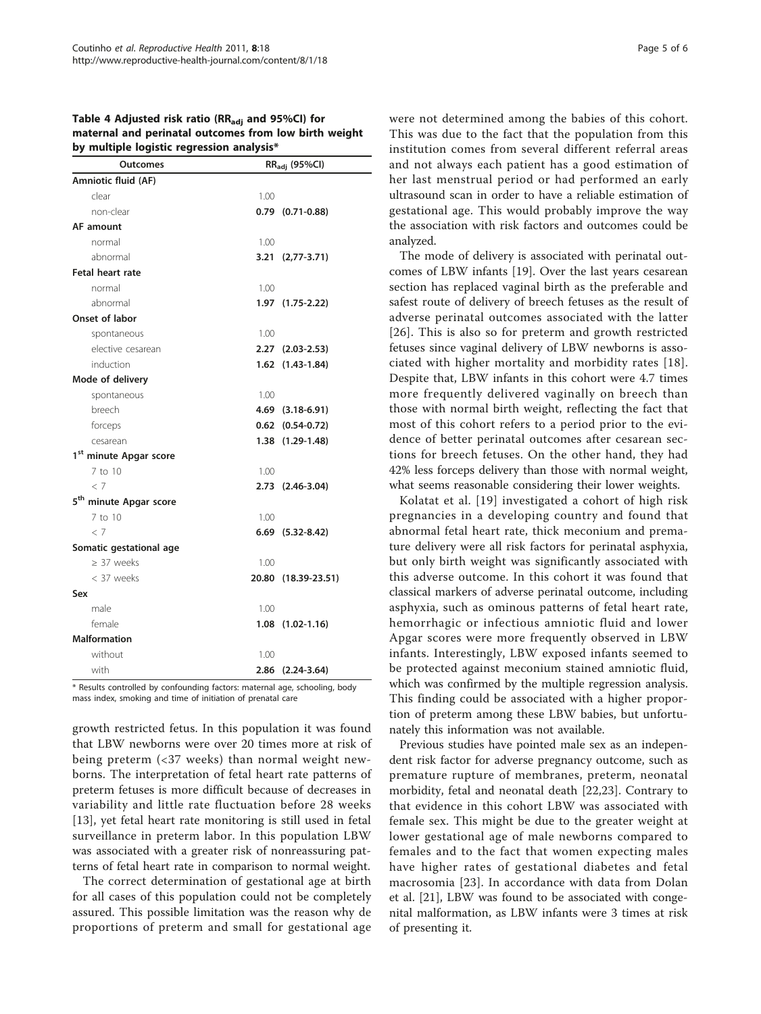<span id="page-4-0"></span>

| Table 4 Adjusted risk ratio (RR <sub>adi</sub> and 95%CI) for |
|---------------------------------------------------------------|
| maternal and perinatal outcomes from low birth weight         |
| by multiple logistic regression analysis*                     |

| <b>Outcomes</b>                    | RR <sub>adi</sub> (95%Cl) |                        |  |  |  |  |
|------------------------------------|---------------------------|------------------------|--|--|--|--|
| Amniotic fluid (AF)                |                           |                        |  |  |  |  |
| clear                              | 1.00                      |                        |  |  |  |  |
| non-clear                          |                           | $0.79$ $(0.71-0.88)$   |  |  |  |  |
| AF amount                          |                           |                        |  |  |  |  |
| normal                             | 1.00                      |                        |  |  |  |  |
| abnormal                           |                           | 3.21 (2,77-3.71)       |  |  |  |  |
| Fetal heart rate                   |                           |                        |  |  |  |  |
| normal                             | 1.00                      |                        |  |  |  |  |
| abnormal                           |                           | 1.97 (1.75-2.22)       |  |  |  |  |
| Onset of labor                     |                           |                        |  |  |  |  |
| spontaneous                        | 1.00                      |                        |  |  |  |  |
| elective cesarean                  |                           | 2.27 (2.03-2.53)       |  |  |  |  |
| induction                          |                           | 1.62 (1.43-1.84)       |  |  |  |  |
| Mode of delivery                   |                           |                        |  |  |  |  |
| spontaneous                        | 1.00                      |                        |  |  |  |  |
| breech                             |                           | 4.69 (3.18-6.91)       |  |  |  |  |
| forceps                            |                           | $0.62$ $(0.54-0.72)$   |  |  |  |  |
| cesarean                           |                           | 1.38 (1.29-1.48)       |  |  |  |  |
| 1 <sup>st</sup> minute Apgar score |                           |                        |  |  |  |  |
| 7 to 10                            | 1.00                      |                        |  |  |  |  |
| < 7                                |                           | 2.73 (2.46-3.04)       |  |  |  |  |
| 5 <sup>th</sup> minute Apgar score |                           |                        |  |  |  |  |
| 7 to 10                            | 1.00                      |                        |  |  |  |  |
| < 7                                |                           | $6.69$ $(5.32-8.42)$   |  |  |  |  |
| Somatic gestational age            |                           |                        |  |  |  |  |
| $\geq$ 37 weeks                    | 1.00                      |                        |  |  |  |  |
| < 37 weeks                         |                           | 20.80 (18.39-23.51)    |  |  |  |  |
| Sex                                |                           |                        |  |  |  |  |
| male                               | 1.00                      |                        |  |  |  |  |
| female                             |                           | $1.08$ $(1.02 - 1.16)$ |  |  |  |  |
| <b>Malformation</b>                |                           |                        |  |  |  |  |
| without                            | 1.00                      |                        |  |  |  |  |
| with                               |                           | 2.86 (2.24-3.64)       |  |  |  |  |

\* Results controlled by confounding factors: maternal age, schooling, body mass index, smoking and time of initiation of prenatal care

growth restricted fetus. In this population it was found that LBW newborns were over 20 times more at risk of being preterm (<37 weeks) than normal weight newborns. The interpretation of fetal heart rate patterns of preterm fetuses is more difficult because of decreases in variability and little rate fluctuation before 28 weeks [[13\]](#page-5-0), yet fetal heart rate monitoring is still used in fetal surveillance in preterm labor. In this population LBW was associated with a greater risk of nonreassuring patterns of fetal heart rate in comparison to normal weight.

The correct determination of gestational age at birth for all cases of this population could not be completely assured. This possible limitation was the reason why de proportions of preterm and small for gestational age were not determined among the babies of this cohort. This was due to the fact that the population from this institution comes from several different referral areas and not always each patient has a good estimation of her last menstrual period or had performed an early ultrasound scan in order to have a reliable estimation of gestational age. This would probably improve the way the association with risk factors and outcomes could be analyzed.

The mode of delivery is associated with perinatal outcomes of LBW infants [[19\]](#page-5-0). Over the last years cesarean section has replaced vaginal birth as the preferable and safest route of delivery of breech fetuses as the result of adverse perinatal outcomes associated with the latter [[26](#page-5-0)]. This is also so for preterm and growth restricted fetuses since vaginal delivery of LBW newborns is associated with higher mortality and morbidity rates [[18](#page-5-0)]. Despite that, LBW infants in this cohort were 4.7 times more frequently delivered vaginally on breech than those with normal birth weight, reflecting the fact that most of this cohort refers to a period prior to the evidence of better perinatal outcomes after cesarean sections for breech fetuses. On the other hand, they had 42% less forceps delivery than those with normal weight, what seems reasonable considering their lower weights.

Kolatat et al. [[19](#page-5-0)] investigated a cohort of high risk pregnancies in a developing country and found that abnormal fetal heart rate, thick meconium and premature delivery were all risk factors for perinatal asphyxia, but only birth weight was significantly associated with this adverse outcome. In this cohort it was found that classical markers of adverse perinatal outcome, including asphyxia, such as ominous patterns of fetal heart rate, hemorrhagic or infectious amniotic fluid and lower Apgar scores were more frequently observed in LBW infants. Interestingly, LBW exposed infants seemed to be protected against meconium stained amniotic fluid, which was confirmed by the multiple regression analysis. This finding could be associated with a higher proportion of preterm among these LBW babies, but unfortunately this information was not available.

Previous studies have pointed male sex as an independent risk factor for adverse pregnancy outcome, such as premature rupture of membranes, preterm, neonatal morbidity, fetal and neonatal death [[22,23\]](#page-5-0). Contrary to that evidence in this cohort LBW was associated with female sex. This might be due to the greater weight at lower gestational age of male newborns compared to females and to the fact that women expecting males have higher rates of gestational diabetes and fetal macrosomia [[23](#page-5-0)]. In accordance with data from Dolan et al. [\[21](#page-5-0)], LBW was found to be associated with congenital malformation, as LBW infants were 3 times at risk of presenting it.